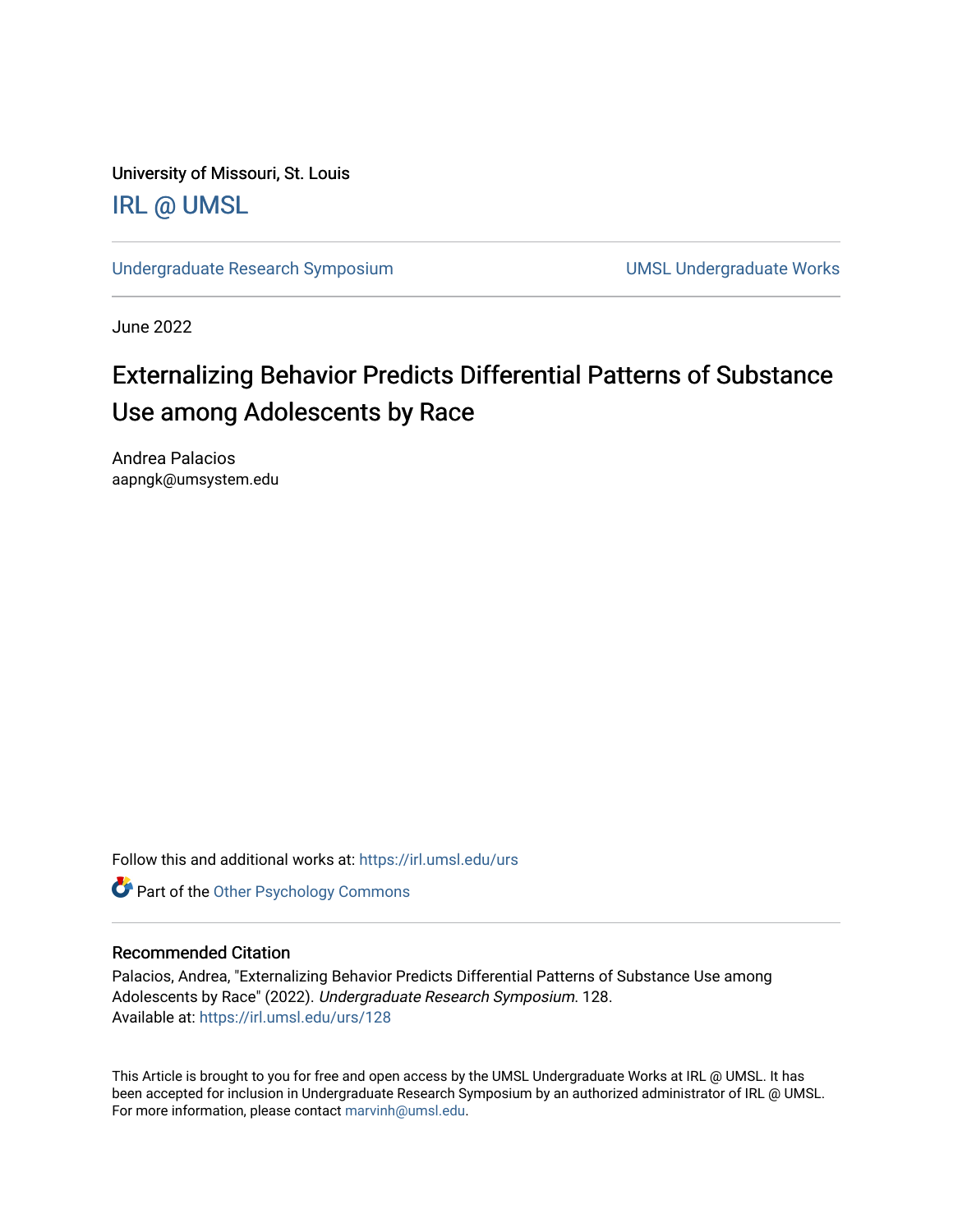University of Missouri, St. Louis [IRL @ UMSL](https://irl.umsl.edu/) 

[Undergraduate Research Symposium](https://irl.umsl.edu/urs) and a series of the UMSL Undergraduate Works

June 2022

#### Externalizing Behavior Predicts Differential Patterns of Substance Use among Adolescents by Race

Andrea Palacios aapngk@umsystem.edu

Follow this and additional works at: [https://irl.umsl.edu/urs](https://irl.umsl.edu/urs?utm_source=irl.umsl.edu%2Furs%2F128&utm_medium=PDF&utm_campaign=PDFCoverPages)

**Part of the Other Psychology Commons** 

#### Recommended Citation

Palacios, Andrea, "Externalizing Behavior Predicts Differential Patterns of Substance Use among Adolescents by Race" (2022). Undergraduate Research Symposium. 128. Available at: [https://irl.umsl.edu/urs/128](https://irl.umsl.edu/urs/128?utm_source=irl.umsl.edu%2Furs%2F128&utm_medium=PDF&utm_campaign=PDFCoverPages) 

This Article is brought to you for free and open access by the UMSL Undergraduate Works at IRL @ UMSL. It has been accepted for inclusion in Undergraduate Research Symposium by an authorized administrator of IRL @ UMSL. For more information, please contact [marvinh@umsl.edu](mailto:marvinh@umsl.edu).